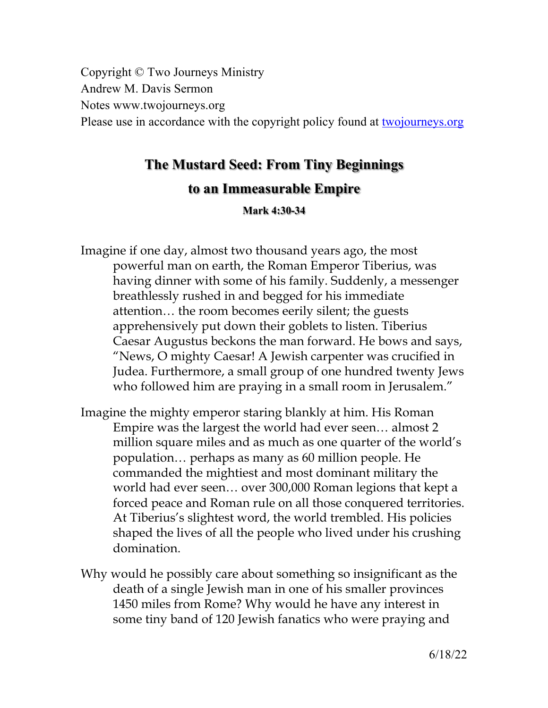Copyright © Two Journeys Ministry Andrew M. Davis Sermon Notes www.twojourneys.org Please use in accordance with the copyright policy found at twojourneys.org

# **The Mustard Seed: From Tiny Beginnings**

# **to an Immeasurable Empire**

**Mark 4:30-34**

Imagine if one day, almost two thousand years ago, the most powerful man on earth, the Roman Emperor Tiberius, was having dinner with some of his family. Suddenly, a messenger breathlessly rushed in and begged for his immediate attention… the room becomes eerily silent; the guests apprehensively put down their goblets to listen. Tiberius Caesar Augustus beckons the man forward. He bows and says, "News, O mighty Caesar! A Jewish carpenter was crucified in Judea. Furthermore, a small group of one hundred twenty Jews who followed him are praying in a small room in Jerusalem."

- Imagine the mighty emperor staring blankly at him. His Roman Empire was the largest the world had ever seen… almost 2 million square miles and as much as one quarter of the world's population… perhaps as many as 60 million people. He commanded the mightiest and most dominant military the world had ever seen… over 300,000 Roman legions that kept a forced peace and Roman rule on all those conquered territories. At Tiberius's slightest word, the world trembled. His policies shaped the lives of all the people who lived under his crushing domination.
- Why would he possibly care about something so insignificant as the death of a single Jewish man in one of his smaller provinces 1450 miles from Rome? Why would he have any interest in some tiny band of 120 Jewish fanatics who were praying and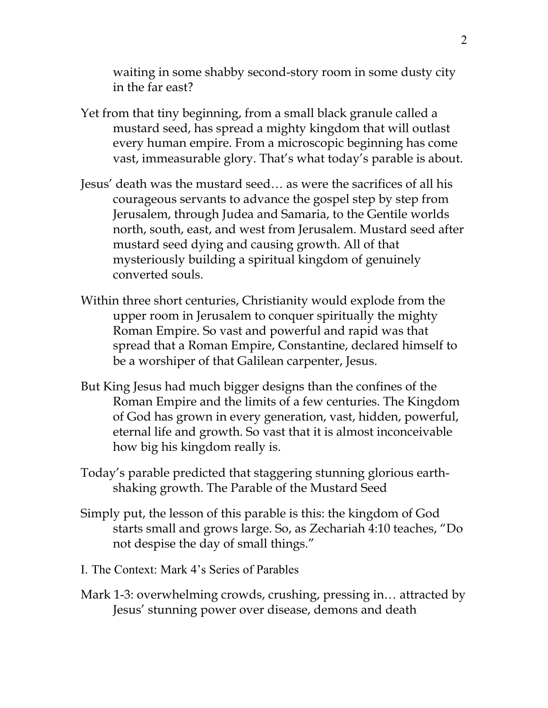waiting in some shabby second-story room in some dusty city in the far east?

- Yet from that tiny beginning, from a small black granule called a mustard seed, has spread a mighty kingdom that will outlast every human empire. From a microscopic beginning has come vast, immeasurable glory. That's what today's parable is about.
- Jesus' death was the mustard seed… as were the sacrifices of all his courageous servants to advance the gospel step by step from Jerusalem, through Judea and Samaria, to the Gentile worlds north, south, east, and west from Jerusalem. Mustard seed after mustard seed dying and causing growth. All of that mysteriously building a spiritual kingdom of genuinely converted souls.
- Within three short centuries, Christianity would explode from the upper room in Jerusalem to conquer spiritually the mighty Roman Empire. So vast and powerful and rapid was that spread that a Roman Empire, Constantine, declared himself to be a worshiper of that Galilean carpenter, Jesus.
- But King Jesus had much bigger designs than the confines of the Roman Empire and the limits of a few centuries. The Kingdom of God has grown in every generation, vast, hidden, powerful, eternal life and growth. So vast that it is almost inconceivable how big his kingdom really is.
- Today's parable predicted that staggering stunning glorious earthshaking growth. The Parable of the Mustard Seed
- Simply put, the lesson of this parable is this: the kingdom of God starts small and grows large. So, as Zechariah 4:10 teaches, "Do not despise the day of small things."
- I. The Context: Mark 4's Series of Parables
- Mark 1-3: overwhelming crowds, crushing, pressing in… attracted by Jesus' stunning power over disease, demons and death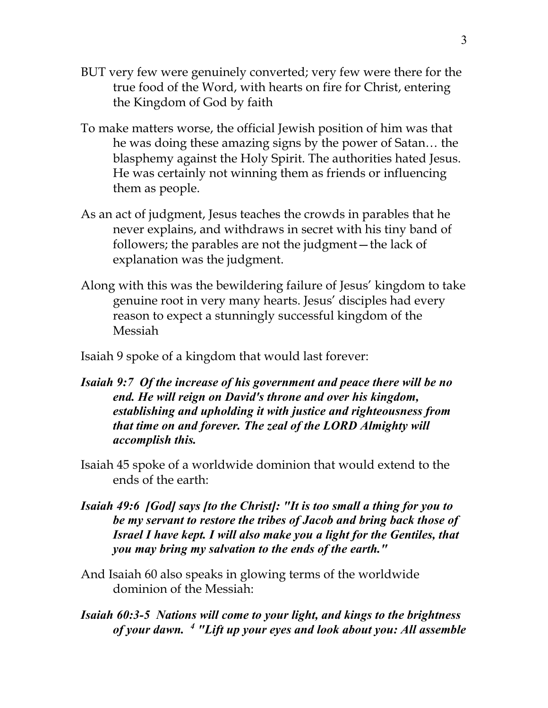- BUT very few were genuinely converted; very few were there for the true food of the Word, with hearts on fire for Christ, entering the Kingdom of God by faith
- To make matters worse, the official Jewish position of him was that he was doing these amazing signs by the power of Satan… the blasphemy against the Holy Spirit. The authorities hated Jesus. He was certainly not winning them as friends or influencing them as people.
- As an act of judgment, Jesus teaches the crowds in parables that he never explains, and withdraws in secret with his tiny band of followers; the parables are not the judgment—the lack of explanation was the judgment.
- Along with this was the bewildering failure of Jesus' kingdom to take genuine root in very many hearts. Jesus' disciples had every reason to expect a stunningly successful kingdom of the Messiah

Isaiah 9 spoke of a kingdom that would last forever:

- *Isaiah 9:7 Of the increase of his government and peace there will be no end. He will reign on David's throne and over his kingdom, establishing and upholding it with justice and righteousness from that time on and forever. The zeal of the LORD Almighty will accomplish this.*
- Isaiah 45 spoke of a worldwide dominion that would extend to the ends of the earth:
- *Isaiah 49:6 [God] says [to the Christ]: "It is too small a thing for you to be my servant to restore the tribes of Jacob and bring back those of Israel I have kept. I will also make you a light for the Gentiles, that you may bring my salvation to the ends of the earth."*
- And Isaiah 60 also speaks in glowing terms of the worldwide dominion of the Messiah:
- *Isaiah 60:3-5 Nations will come to your light, and kings to the brightness of your dawn. 4 "Lift up your eyes and look about you: All assemble*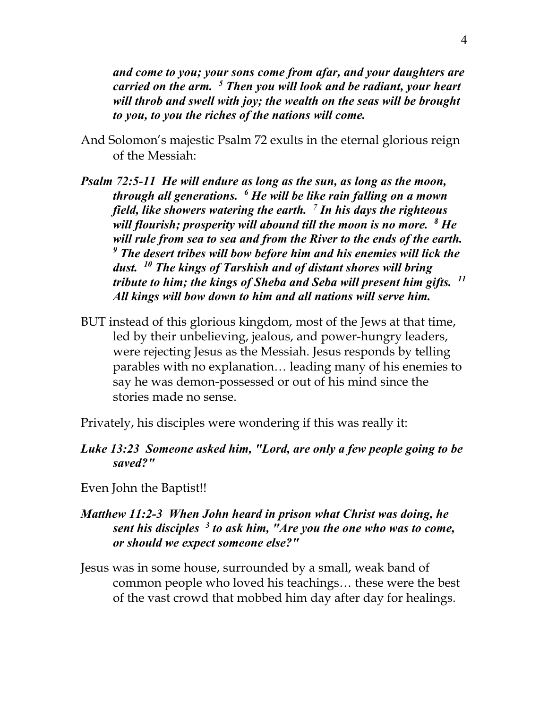*and come to you; your sons come from afar, and your daughters are carried on the arm. 5 Then you will look and be radiant, your heart will throb and swell with joy; the wealth on the seas will be brought to you, to you the riches of the nations will come.*

- And Solomon's majestic Psalm 72 exults in the eternal glorious reign of the Messiah:
- *Psalm 72:5-11 He will endure as long as the sun, as long as the moon, through all generations. 6 He will be like rain falling on a mown field, like showers watering the earth. 7 In his days the righteous will flourish; prosperity will abound till the moon is no more. 8 He will rule from sea to sea and from the River to the ends of the earth. <sup>9</sup> The desert tribes will bow before him and his enemies will lick the dust. 10 The kings of Tarshish and of distant shores will bring tribute to him; the kings of Sheba and Seba will present him gifts. 11 All kings will bow down to him and all nations will serve him.*
- BUT instead of this glorious kingdom, most of the Jews at that time, led by their unbelieving, jealous, and power-hungry leaders, were rejecting Jesus as the Messiah. Jesus responds by telling parables with no explanation… leading many of his enemies to say he was demon-possessed or out of his mind since the stories made no sense.

Privately, his disciples were wondering if this was really it:

### *Luke 13:23 Someone asked him, "Lord, are only a few people going to be saved?"*

Even John the Baptist!!

## *Matthew 11:2-3 When John heard in prison what Christ was doing, he sent his disciples 3 to ask him, "Are you the one who was to come, or should we expect someone else?"*

Jesus was in some house, surrounded by a small, weak band of common people who loved his teachings… these were the best of the vast crowd that mobbed him day after day for healings.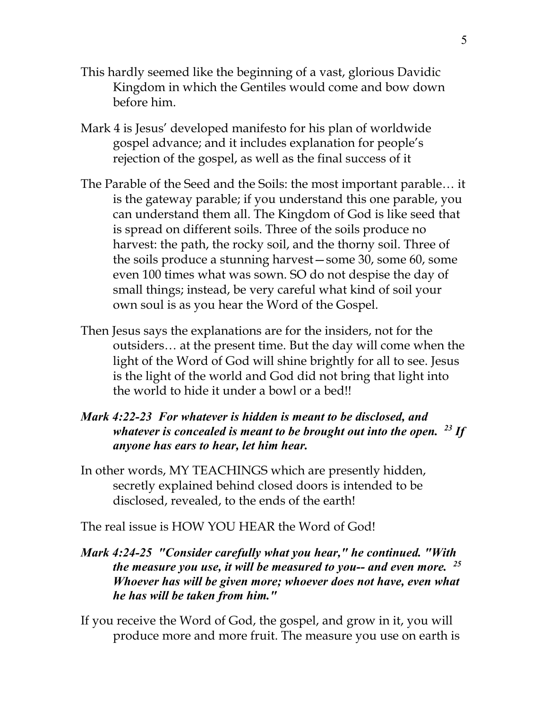- This hardly seemed like the beginning of a vast, glorious Davidic Kingdom in which the Gentiles would come and bow down before him.
- Mark 4 is Jesus' developed manifesto for his plan of worldwide gospel advance; and it includes explanation for people's rejection of the gospel, as well as the final success of it
- The Parable of the Seed and the Soils: the most important parable… it is the gateway parable; if you understand this one parable, you can understand them all. The Kingdom of God is like seed that is spread on different soils. Three of the soils produce no harvest: the path, the rocky soil, and the thorny soil. Three of the soils produce a stunning harvest—some 30, some 60, some even 100 times what was sown. SO do not despise the day of small things; instead, be very careful what kind of soil your own soul is as you hear the Word of the Gospel.
- Then Jesus says the explanations are for the insiders, not for the outsiders… at the present time. But the day will come when the light of the Word of God will shine brightly for all to see. Jesus is the light of the world and God did not bring that light into the world to hide it under a bowl or a bed!!
- *Mark 4:22-23 For whatever is hidden is meant to be disclosed, and whatever is concealed is meant to be brought out into the open. 23 If anyone has ears to hear, let him hear.*
- In other words, MY TEACHINGS which are presently hidden, secretly explained behind closed doors is intended to be disclosed, revealed, to the ends of the earth!

The real issue is HOW YOU HEAR the Word of God!

- *Mark 4:24-25 "Consider carefully what you hear," he continued. "With the measure you use, it will be measured to you-- and even more. 25 Whoever has will be given more; whoever does not have, even what he has will be taken from him."*
- If you receive the Word of God, the gospel, and grow in it, you will produce more and more fruit. The measure you use on earth is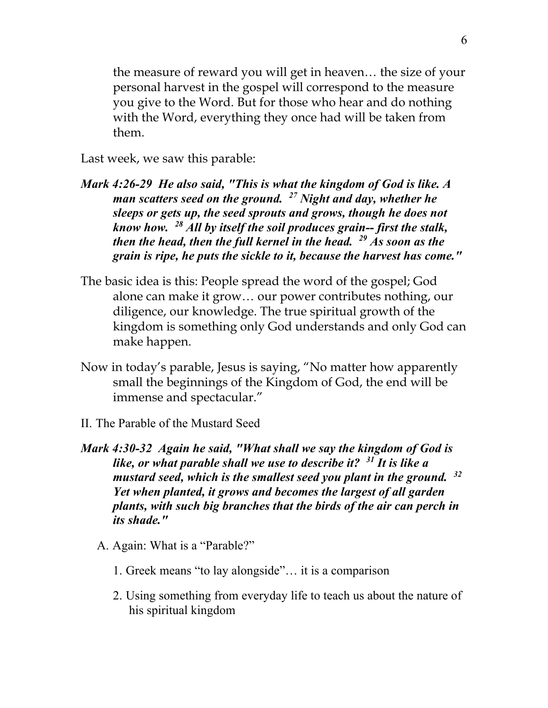the measure of reward you will get in heaven… the size of your personal harvest in the gospel will correspond to the measure you give to the Word. But for those who hear and do nothing with the Word, everything they once had will be taken from them.

Last week, we saw this parable:

- *Mark 4:26-29 He also said, "This is what the kingdom of God is like. A man scatters seed on the ground. 27 Night and day, whether he sleeps or gets up, the seed sprouts and grows, though he does not know how. 28 All by itself the soil produces grain-- first the stalk, then the head, then the full kernel in the head. 29 As soon as the grain is ripe, he puts the sickle to it, because the harvest has come."*
- The basic idea is this: People spread the word of the gospel; God alone can make it grow… our power contributes nothing, our diligence, our knowledge. The true spiritual growth of the kingdom is something only God understands and only God can make happen.
- Now in today's parable, Jesus is saying, "No matter how apparently small the beginnings of the Kingdom of God, the end will be immense and spectacular."
- II. The Parable of the Mustard Seed
- *Mark 4:30-32 Again he said, "What shall we say the kingdom of God is like, or what parable shall we use to describe it? 31 It is like a mustard seed, which is the smallest seed you plant in the ground. 32 Yet when planted, it grows and becomes the largest of all garden plants, with such big branches that the birds of the air can perch in its shade."*
	- A. Again: What is a "Parable?"
		- 1. Greek means "to lay alongside"… it is a comparison
		- 2. Using something from everyday life to teach us about the nature of his spiritual kingdom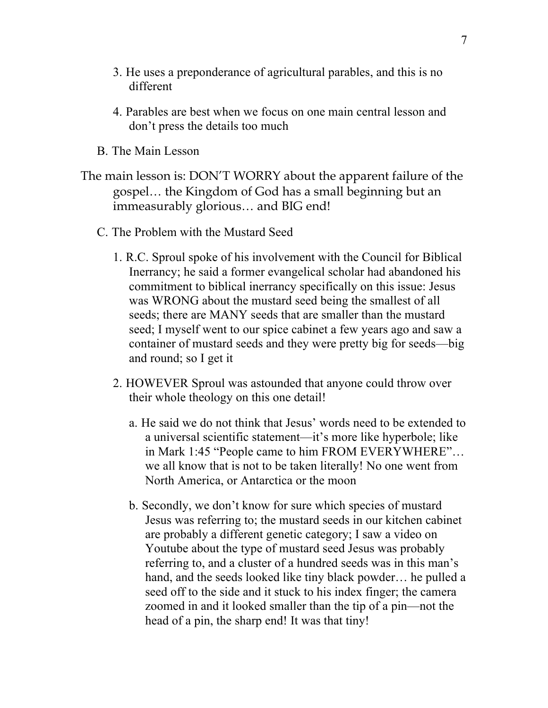- 3. He uses a preponderance of agricultural parables, and this is no different
- 4. Parables are best when we focus on one main central lesson and don't press the details too much
- B. The Main Lesson
- The main lesson is: DON'T WORRY about the apparent failure of the gospel… the Kingdom of God has a small beginning but an immeasurably glorious… and BIG end!
	- C. The Problem with the Mustard Seed
		- 1. R.C. Sproul spoke of his involvement with the Council for Biblical Inerrancy; he said a former evangelical scholar had abandoned his commitment to biblical inerrancy specifically on this issue: Jesus was WRONG about the mustard seed being the smallest of all seeds; there are MANY seeds that are smaller than the mustard seed; I myself went to our spice cabinet a few years ago and saw a container of mustard seeds and they were pretty big for seeds—big and round; so I get it
		- 2. HOWEVER Sproul was astounded that anyone could throw over their whole theology on this one detail!
			- a. He said we do not think that Jesus' words need to be extended to a universal scientific statement—it's more like hyperbole; like in Mark 1:45 "People came to him FROM EVERYWHERE"… we all know that is not to be taken literally! No one went from North America, or Antarctica or the moon
			- b. Secondly, we don't know for sure which species of mustard Jesus was referring to; the mustard seeds in our kitchen cabinet are probably a different genetic category; I saw a video on Youtube about the type of mustard seed Jesus was probably referring to, and a cluster of a hundred seeds was in this man's hand, and the seeds looked like tiny black powder... he pulled a seed off to the side and it stuck to his index finger; the camera zoomed in and it looked smaller than the tip of a pin—not the head of a pin, the sharp end! It was that tiny!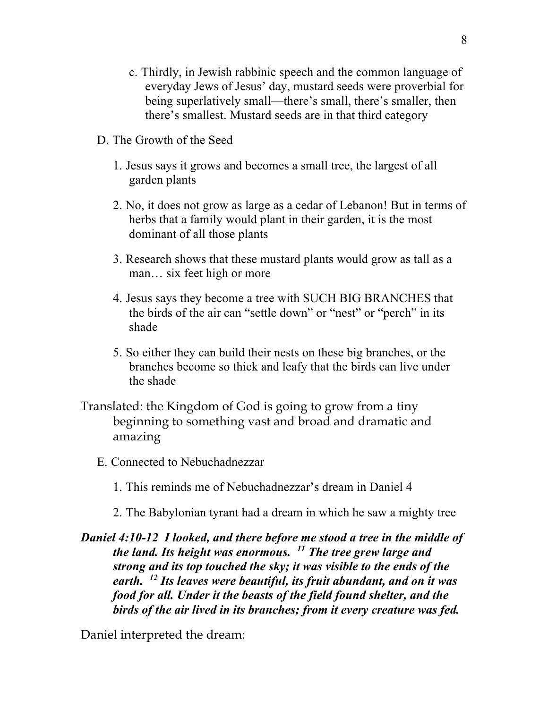- c. Thirdly, in Jewish rabbinic speech and the common language of everyday Jews of Jesus' day, mustard seeds were proverbial for being superlatively small—there's small, there's smaller, then there's smallest. Mustard seeds are in that third category
- D. The Growth of the Seed
	- 1. Jesus says it grows and becomes a small tree, the largest of all garden plants
	- 2. No, it does not grow as large as a cedar of Lebanon! But in terms of herbs that a family would plant in their garden, it is the most dominant of all those plants
	- 3. Research shows that these mustard plants would grow as tall as a man… six feet high or more
	- 4. Jesus says they become a tree with SUCH BIG BRANCHES that the birds of the air can "settle down" or "nest" or "perch" in its shade
	- 5. So either they can build their nests on these big branches, or the branches become so thick and leafy that the birds can live under the shade
- Translated: the Kingdom of God is going to grow from a tiny beginning to something vast and broad and dramatic and amazing
	- E. Connected to Nebuchadnezzar
		- 1. This reminds me of Nebuchadnezzar's dream in Daniel 4
		- 2. The Babylonian tyrant had a dream in which he saw a mighty tree
- *Daniel 4:10-12 I looked, and there before me stood a tree in the middle of the land. Its height was enormous. 11 The tree grew large and strong and its top touched the sky; it was visible to the ends of the earth. 12 Its leaves were beautiful, its fruit abundant, and on it was food for all. Under it the beasts of the field found shelter, and the birds of the air lived in its branches; from it every creature was fed.*

Daniel interpreted the dream: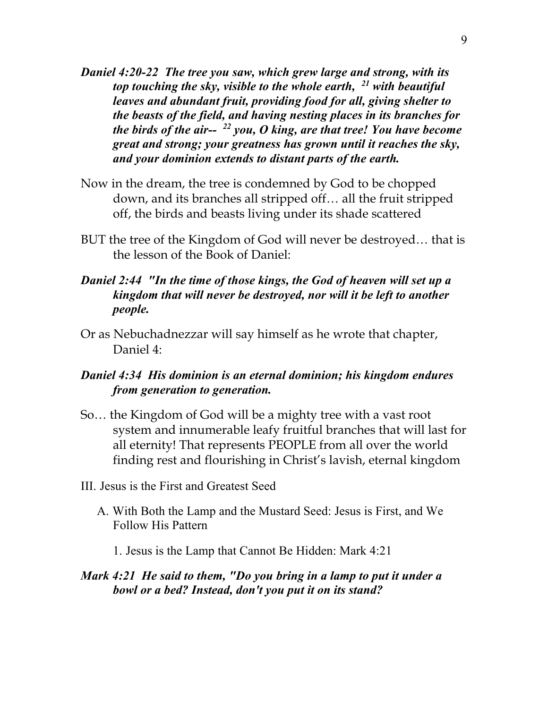- *Daniel 4:20-22 The tree you saw, which grew large and strong, with its top touching the sky, visible to the whole earth, 21 with beautiful leaves and abundant fruit, providing food for all, giving shelter to the beasts of the field, and having nesting places in its branches for the birds of the air-- 22 you, O king, are that tree! You have become great and strong; your greatness has grown until it reaches the sky, and your dominion extends to distant parts of the earth.*
- Now in the dream, the tree is condemned by God to be chopped down, and its branches all stripped off… all the fruit stripped off, the birds and beasts living under its shade scattered
- BUT the tree of the Kingdom of God will never be destroyed… that is the lesson of the Book of Daniel:
- *Daniel 2:44 "In the time of those kings, the God of heaven will set up a kingdom that will never be destroyed, nor will it be left to another people.*
- Or as Nebuchadnezzar will say himself as he wrote that chapter, Daniel 4:

#### *Daniel 4:34 His dominion is an eternal dominion; his kingdom endures from generation to generation.*

- So… the Kingdom of God will be a mighty tree with a vast root system and innumerable leafy fruitful branches that will last for all eternity! That represents PEOPLE from all over the world finding rest and flourishing in Christ's lavish, eternal kingdom
- III. Jesus is the First and Greatest Seed
	- A. With Both the Lamp and the Mustard Seed: Jesus is First, and We Follow His Pattern
		- 1. Jesus is the Lamp that Cannot Be Hidden: Mark 4:21

#### *Mark 4:21 He said to them, "Do you bring in a lamp to put it under a bowl or a bed? Instead, don't you put it on its stand?*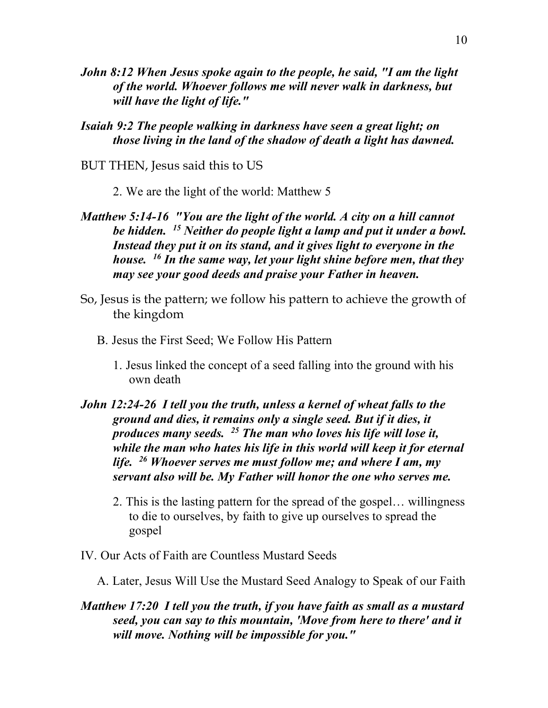- *John 8:12 When Jesus spoke again to the people, he said, "I am the light of the world. Whoever follows me will never walk in darkness, but will have the light of life."*
- *Isaiah 9:2 The people walking in darkness have seen a great light; on those living in the land of the shadow of death a light has dawned.*
- BUT THEN, Jesus said this to US
	- 2. We are the light of the world: Matthew 5
- *Matthew 5:14-16 "You are the light of the world. A city on a hill cannot be hidden. 15 Neither do people light a lamp and put it under a bowl. Instead they put it on its stand, and it gives light to everyone in the house. 16 In the same way, let your light shine before men, that they may see your good deeds and praise your Father in heaven.*
- So, Jesus is the pattern; we follow his pattern to achieve the growth of the kingdom
	- B. Jesus the First Seed; We Follow His Pattern
		- 1. Jesus linked the concept of a seed falling into the ground with his own death
- *John 12:24-26 I tell you the truth, unless a kernel of wheat falls to the ground and dies, it remains only a single seed. But if it dies, it produces many seeds. 25 The man who loves his life will lose it, while the man who hates his life in this world will keep it for eternal life. 26 Whoever serves me must follow me; and where I am, my servant also will be. My Father will honor the one who serves me.*
	- 2. This is the lasting pattern for the spread of the gospel… willingness to die to ourselves, by faith to give up ourselves to spread the gospel
- IV. Our Acts of Faith are Countless Mustard Seeds
	- A. Later, Jesus Will Use the Mustard Seed Analogy to Speak of our Faith
- *Matthew 17:20 I tell you the truth, if you have faith as small as a mustard seed, you can say to this mountain, 'Move from here to there' and it will move. Nothing will be impossible for you."*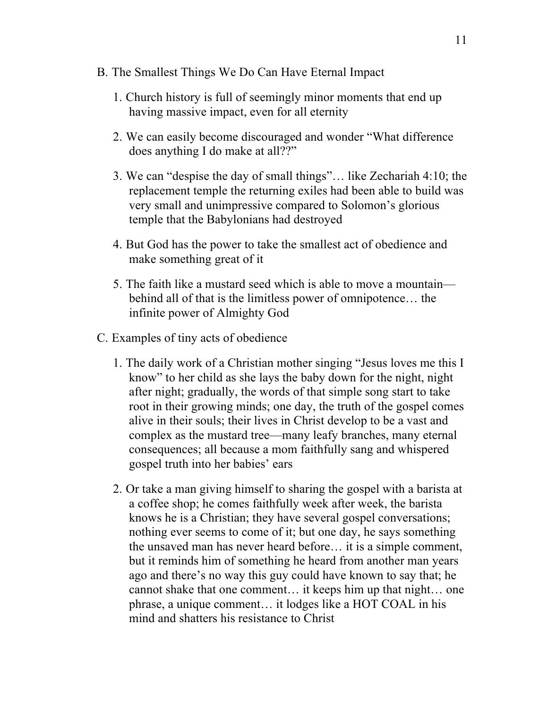- B. The Smallest Things We Do Can Have Eternal Impact
	- 1. Church history is full of seemingly minor moments that end up having massive impact, even for all eternity
	- 2. We can easily become discouraged and wonder "What difference does anything I do make at all??"
	- 3. We can "despise the day of small things"… like Zechariah 4:10; the replacement temple the returning exiles had been able to build was very small and unimpressive compared to Solomon's glorious temple that the Babylonians had destroyed
	- 4. But God has the power to take the smallest act of obedience and make something great of it
	- 5. The faith like a mustard seed which is able to move a mountain behind all of that is the limitless power of omnipotence… the infinite power of Almighty God
- C. Examples of tiny acts of obedience
	- 1. The daily work of a Christian mother singing "Jesus loves me this I know" to her child as she lays the baby down for the night, night after night; gradually, the words of that simple song start to take root in their growing minds; one day, the truth of the gospel comes alive in their souls; their lives in Christ develop to be a vast and complex as the mustard tree—many leafy branches, many eternal consequences; all because a mom faithfully sang and whispered gospel truth into her babies' ears
	- 2. Or take a man giving himself to sharing the gospel with a barista at a coffee shop; he comes faithfully week after week, the barista knows he is a Christian; they have several gospel conversations; nothing ever seems to come of it; but one day, he says something the unsaved man has never heard before… it is a simple comment, but it reminds him of something he heard from another man years ago and there's no way this guy could have known to say that; he cannot shake that one comment… it keeps him up that night… one phrase, a unique comment… it lodges like a HOT COAL in his mind and shatters his resistance to Christ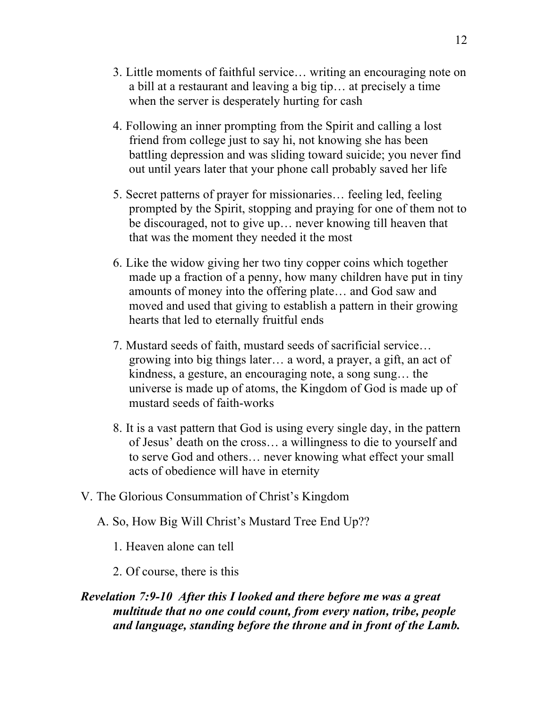- 3. Little moments of faithful service… writing an encouraging note on a bill at a restaurant and leaving a big tip… at precisely a time when the server is desperately hurting for cash
- 4. Following an inner prompting from the Spirit and calling a lost friend from college just to say hi, not knowing she has been battling depression and was sliding toward suicide; you never find out until years later that your phone call probably saved her life
- 5. Secret patterns of prayer for missionaries… feeling led, feeling prompted by the Spirit, stopping and praying for one of them not to be discouraged, not to give up… never knowing till heaven that that was the moment they needed it the most
- 6. Like the widow giving her two tiny copper coins which together made up a fraction of a penny, how many children have put in tiny amounts of money into the offering plate… and God saw and moved and used that giving to establish a pattern in their growing hearts that led to eternally fruitful ends
- 7. Mustard seeds of faith, mustard seeds of sacrificial service… growing into big things later… a word, a prayer, a gift, an act of kindness, a gesture, an encouraging note, a song sung… the universe is made up of atoms, the Kingdom of God is made up of mustard seeds of faith-works
- 8. It is a vast pattern that God is using every single day, in the pattern of Jesus' death on the cross… a willingness to die to yourself and to serve God and others… never knowing what effect your small acts of obedience will have in eternity
- V. The Glorious Consummation of Christ's Kingdom
	- A. So, How Big Will Christ's Mustard Tree End Up??
		- 1. Heaven alone can tell
		- 2. Of course, there is this

### *Revelation 7:9-10 After this I looked and there before me was a great multitude that no one could count, from every nation, tribe, people and language, standing before the throne and in front of the Lamb.*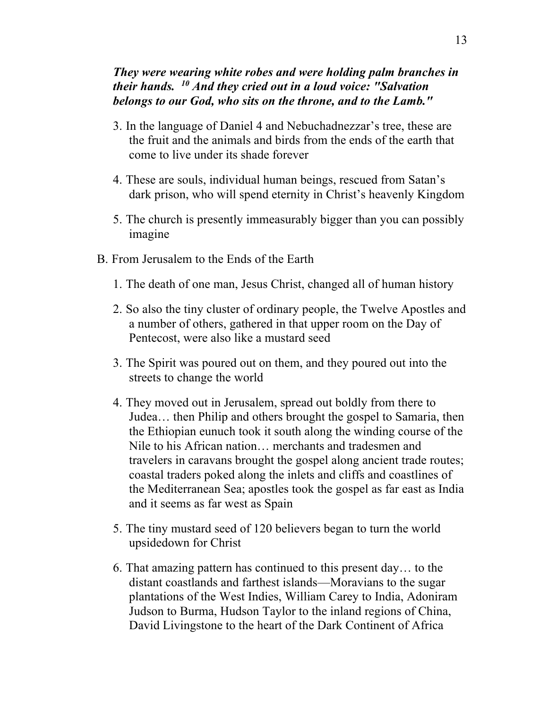#### *They were wearing white robes and were holding palm branches in their hands. 10 And they cried out in a loud voice: "Salvation belongs to our God, who sits on the throne, and to the Lamb."*

- 3. In the language of Daniel 4 and Nebuchadnezzar's tree, these are the fruit and the animals and birds from the ends of the earth that come to live under its shade forever
- 4. These are souls, individual human beings, rescued from Satan's dark prison, who will spend eternity in Christ's heavenly Kingdom
- 5. The church is presently immeasurably bigger than you can possibly imagine
- B. From Jerusalem to the Ends of the Earth
	- 1. The death of one man, Jesus Christ, changed all of human history
	- 2. So also the tiny cluster of ordinary people, the Twelve Apostles and a number of others, gathered in that upper room on the Day of Pentecost, were also like a mustard seed
	- 3. The Spirit was poured out on them, and they poured out into the streets to change the world
	- 4. They moved out in Jerusalem, spread out boldly from there to Judea… then Philip and others brought the gospel to Samaria, then the Ethiopian eunuch took it south along the winding course of the Nile to his African nation… merchants and tradesmen and travelers in caravans brought the gospel along ancient trade routes; coastal traders poked along the inlets and cliffs and coastlines of the Mediterranean Sea; apostles took the gospel as far east as India and it seems as far west as Spain
	- 5. The tiny mustard seed of 120 believers began to turn the world upsidedown for Christ
	- 6. That amazing pattern has continued to this present day… to the distant coastlands and farthest islands—Moravians to the sugar plantations of the West Indies, William Carey to India, Adoniram Judson to Burma, Hudson Taylor to the inland regions of China, David Livingstone to the heart of the Dark Continent of Africa